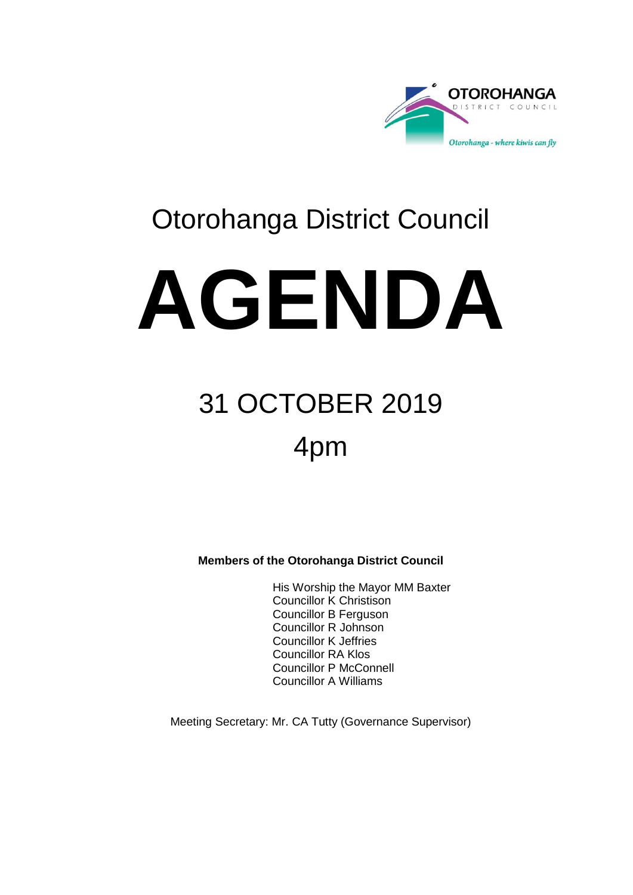

### Otorohanga District Council

# **AGENDA**

## 31 OCTOBER 2019 4pm

**Members of the Otorohanga District Council**

His Worship the Mayor MM Baxter Councillor K Christison Councillor B Ferguson Councillor R Johnson Councillor K Jeffries Councillor RA Klos Councillor P McConnell Councillor A Williams

Meeting Secretary: Mr. CA Tutty (Governance Supervisor)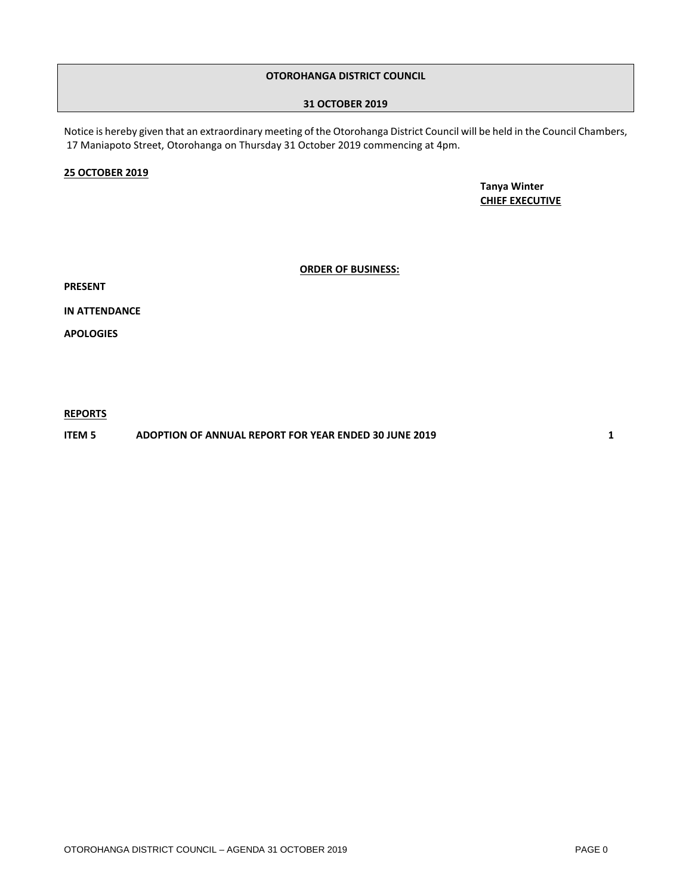#### **OTOROHANGA DISTRICT COUNCIL**

#### **31 OCTOBER 2019**

Notice is hereby given that an extraordinary meeting of the Otorohanga District Council will be held in the Council Chambers, 17 Maniapoto Street, Otorohanga on Thursday 31 October 2019 commencing at 4pm.

#### **25 OCTOBER 2019**

**Tanya Winter CHIEF EXECUTIVE**

#### **ORDER OF BUSINESS:**

**PRESENT**

**IN ATTENDANCE**

**APOLOGIES**

#### **REPORTS**

#### **ITEM 5 ADOPTION OF ANNUAL REPORT FOR YEAR ENDED 30 JUNE 2019 1**